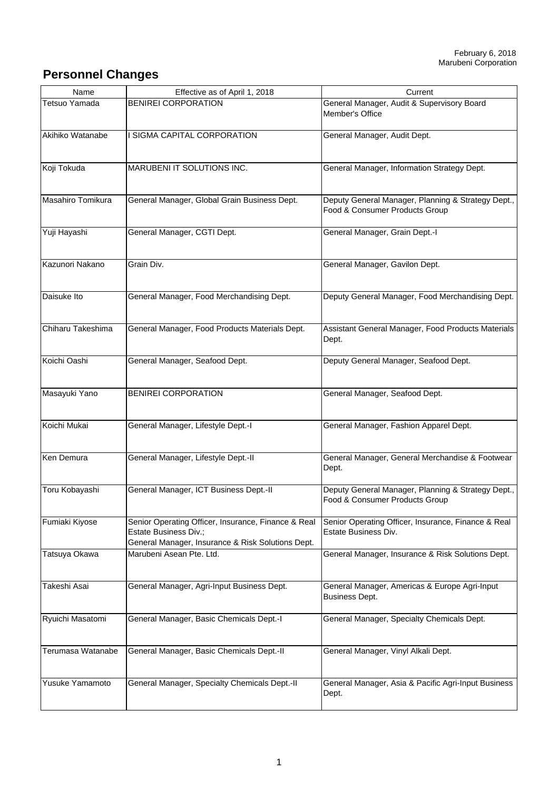## **Personnel Changes**

| Name              | Effective as of April 1, 2018                                                                                                     | Current                                                                              |
|-------------------|-----------------------------------------------------------------------------------------------------------------------------------|--------------------------------------------------------------------------------------|
| Tetsuo Yamada     | <b>BENIREI CORPORATION</b>                                                                                                        | General Manager, Audit & Supervisory Board<br>Member's Office                        |
| Akihiko Watanabe  | SIGMA CAPITAL CORPORATION                                                                                                         | General Manager, Audit Dept.                                                         |
| Koji Tokuda       | MARUBENI IT SOLUTIONS INC.                                                                                                        | General Manager, Information Strategy Dept.                                          |
| Masahiro Tomikura | General Manager, Global Grain Business Dept.                                                                                      | Deputy General Manager, Planning & Strategy Dept.,<br>Food & Consumer Products Group |
| Yuji Hayashi      | General Manager, CGTI Dept.                                                                                                       | General Manager, Grain Dept.-I                                                       |
| Kazunori Nakano   | Grain Div.                                                                                                                        | General Manager, Gavilon Dept.                                                       |
| Daisuke Ito       | General Manager, Food Merchandising Dept.                                                                                         | Deputy General Manager, Food Merchandising Dept.                                     |
| Chiharu Takeshima | General Manager, Food Products Materials Dept.                                                                                    | Assistant General Manager, Food Products Materials<br>Dept.                          |
| Koichi Oashi      | General Manager, Seafood Dept.                                                                                                    | Deputy General Manager, Seafood Dept.                                                |
| Masayuki Yano     | <b>BENIREI CORPORATION</b>                                                                                                        | General Manager, Seafood Dept.                                                       |
| Koichi Mukai      | General Manager, Lifestyle Dept.-I                                                                                                | General Manager, Fashion Apparel Dept.                                               |
| Ken Demura        | General Manager, Lifestyle Dept.-II                                                                                               | General Manager, General Merchandise & Footwear<br>Dept.                             |
| Toru Kobayashi    | General Manager, ICT Business Dept.-II                                                                                            | Deputy General Manager, Planning & Strategy Dept.,<br>Food & Consumer Products Group |
| Fumiaki Kiyose    | Senior Operating Officer, Insurance, Finance & Real<br>Estate Business Div.;<br>General Manager, Insurance & Risk Solutions Dept. | Senior Operating Officer, Insurance, Finance & Real<br>Estate Business Div.          |
| Tatsuya Okawa     | Marubeni Asean Pte. Ltd.                                                                                                          | General Manager, Insurance & Risk Solutions Dept.                                    |
| Takeshi Asai      | General Manager, Agri-Input Business Dept.                                                                                        | General Manager, Americas & Europe Agri-Input<br><b>Business Dept.</b>               |
| Ryuichi Masatomi  | General Manager, Basic Chemicals Dept.-I                                                                                          | General Manager, Specialty Chemicals Dept.                                           |
| Terumasa Watanabe | General Manager, Basic Chemicals Dept.-II                                                                                         | General Manager, Vinyl Alkali Dept.                                                  |
| Yusuke Yamamoto   | General Manager, Specialty Chemicals Dept.-II                                                                                     | General Manager, Asia & Pacific Agri-Input Business<br>Dept.                         |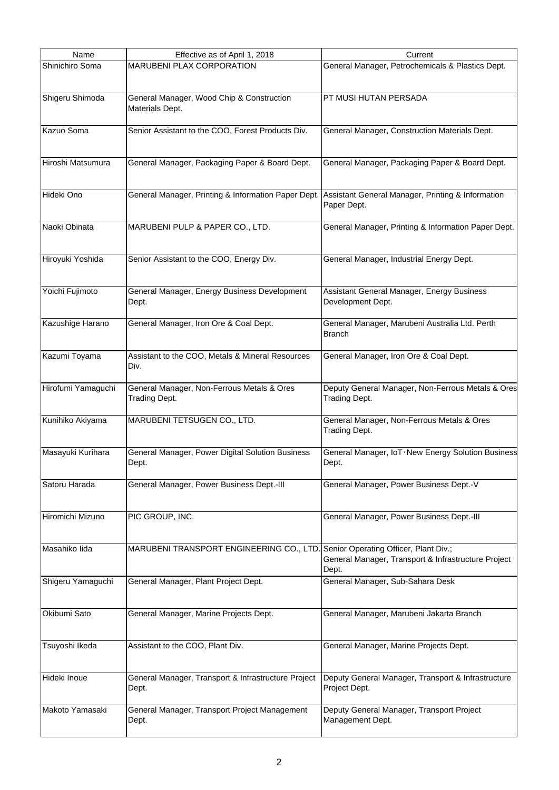| Name               | Effective as of April 1, 2018                                                                         | Current                                                             |
|--------------------|-------------------------------------------------------------------------------------------------------|---------------------------------------------------------------------|
| Shinichiro Soma    | <b>MARUBENI PLAX CORPORATION</b>                                                                      | General Manager, Petrochemicals & Plastics Dept.                    |
| Shigeru Shimoda    | General Manager, Wood Chip & Construction<br>Materials Dept.                                          | PT MUSI HUTAN PERSADA                                               |
| Kazuo Soma         | Senior Assistant to the COO, Forest Products Div.                                                     | General Manager, Construction Materials Dept.                       |
| Hiroshi Matsumura  | General Manager, Packaging Paper & Board Dept.                                                        | General Manager, Packaging Paper & Board Dept.                      |
| Hideki Ono         | General Manager, Printing & Information Paper Dept. Assistant General Manager, Printing & Information | Paper Dept.                                                         |
| Naoki Obinata      | MARUBENI PULP & PAPER CO., LTD.                                                                       | General Manager, Printing & Information Paper Dept.                 |
| Hiroyuki Yoshida   | Senior Assistant to the COO, Energy Div.                                                              | General Manager, Industrial Energy Dept.                            |
| Yoichi Fujimoto    | General Manager, Energy Business Development<br>Dept.                                                 | Assistant General Manager, Energy Business<br>Development Dept.     |
| Kazushige Harano   | General Manager, Iron Ore & Coal Dept.                                                                | General Manager, Marubeni Australia Ltd. Perth<br><b>Branch</b>     |
| Kazumi Toyama      | Assistant to the COO, Metals & Mineral Resources<br>Div.                                              | General Manager, Iron Ore & Coal Dept.                              |
| Hirofumi Yamaguchi | General Manager, Non-Ferrous Metals & Ores<br><b>Trading Dept.</b>                                    | Deputy General Manager, Non-Ferrous Metals & Ores<br>Trading Dept.  |
| Kunihiko Akiyama   | MARUBENI TETSUGEN CO., LTD.                                                                           | General Manager, Non-Ferrous Metals & Ores<br>Trading Dept.         |
| Masayuki Kurihara  | General Manager, Power Digital Solution Business<br>Dept.                                             | General Manager, IoT . New Energy Solution Business<br>Dept.        |
| Satoru Harada      | General Manager, Power Business Dept.-III                                                             | General Manager, Power Business Dept.-V                             |
| Hiromichi Mizuno   | PIC GROUP, INC.                                                                                       | General Manager, Power Business Dept.-III                           |
| Masahiko lida      | MARUBENI TRANSPORT ENGINEERING CO., LTD. Senior Operating Officer, Plant Div.;                        | General Manager, Transport & Infrastructure Project<br>Dept.        |
| Shigeru Yamaguchi  | General Manager, Plant Project Dept.                                                                  | General Manager, Sub-Sahara Desk                                    |
| Okibumi Sato       | General Manager, Marine Projects Dept.                                                                | General Manager, Marubeni Jakarta Branch                            |
| Tsuyoshi Ikeda     | Assistant to the COO, Plant Div.                                                                      | General Manager, Marine Projects Dept.                              |
| Hideki Inoue       | General Manager, Transport & Infrastructure Project<br>Dept.                                          | Deputy General Manager, Transport & Infrastructure<br>Project Dept. |
| Makoto Yamasaki    | General Manager, Transport Project Management<br>Dept.                                                | Deputy General Manager, Transport Project<br>Management Dept.       |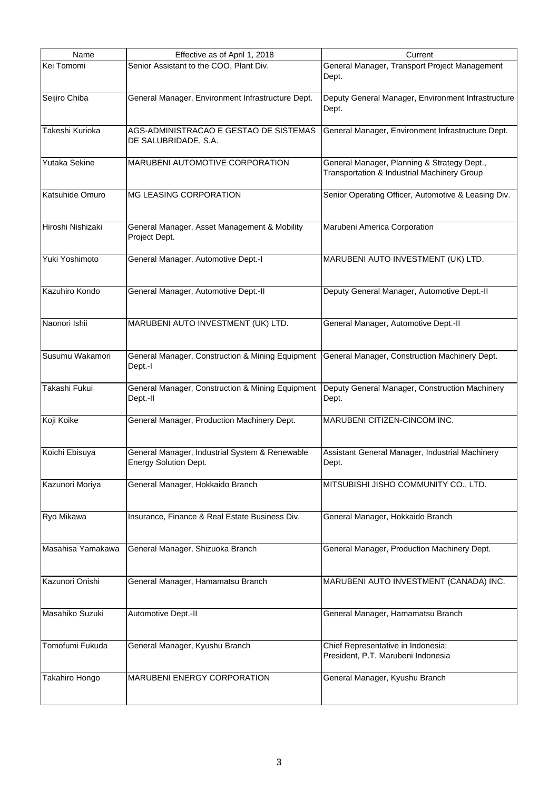| Name              | Effective as of April 1, 2018                     | Current                                             |
|-------------------|---------------------------------------------------|-----------------------------------------------------|
| Kei Tomomi        | Senior Assistant to the COO, Plant Div.           | General Manager, Transport Project Management       |
|                   |                                                   | Dept.                                               |
|                   |                                                   |                                                     |
| Seijiro Chiba     | General Manager, Environment Infrastructure Dept. | Deputy General Manager, Environment Infrastructure  |
|                   |                                                   | Dept.                                               |
|                   |                                                   |                                                     |
| Takeshi Kurioka   | AGS-ADMINISTRACAO E GESTAO DE SISTEMAS            | General Manager, Environment Infrastructure Dept.   |
|                   | DE SALUBRIDADE, S.A.                              |                                                     |
|                   |                                                   |                                                     |
| Yutaka Sekine     | MARUBENI AUTOMOTIVE CORPORATION                   | General Manager, Planning & Strategy Dept.,         |
|                   |                                                   | Transportation & Industrial Machinery Group         |
|                   |                                                   |                                                     |
| Katsuhide Omuro   | <b>MG LEASING CORPORATION</b>                     | Senior Operating Officer, Automotive & Leasing Div. |
|                   |                                                   |                                                     |
|                   |                                                   |                                                     |
| Hiroshi Nishizaki | General Manager, Asset Management & Mobility      | Marubeni America Corporation                        |
|                   | Project Dept.                                     |                                                     |
|                   |                                                   |                                                     |
| Yuki Yoshimoto    | General Manager, Automotive Dept.-I               | MARUBENI AUTO INVESTMENT (UK) LTD.                  |
|                   |                                                   |                                                     |
|                   |                                                   |                                                     |
| Kazuhiro Kondo    | General Manager, Automotive Dept.-II              | Deputy General Manager, Automotive Dept.-II         |
|                   |                                                   |                                                     |
|                   |                                                   |                                                     |
| Naonori Ishii     | MARUBENI AUTO INVESTMENT (UK) LTD.                | General Manager, Automotive Dept.-II                |
|                   |                                                   |                                                     |
|                   |                                                   |                                                     |
| Susumu Wakamori   | General Manager, Construction & Mining Equipment  | General Manager, Construction Machinery Dept.       |
|                   | Dept.-I                                           |                                                     |
|                   |                                                   |                                                     |
| Takashi Fukui     | General Manager, Construction & Mining Equipment  | Deputy General Manager, Construction Machinery      |
|                   | Dept.-II                                          | Dept.                                               |
|                   |                                                   |                                                     |
| Koji Koike        | General Manager, Production Machinery Dept.       | MARUBENI CITIZEN-CINCOM INC.                        |
|                   |                                                   |                                                     |
|                   |                                                   |                                                     |
| Koichi Ebisuya    | General Manager, Industrial System & Renewable    | Assistant General Manager, Industrial Machinery     |
|                   | <b>Energy Solution Dept.</b>                      | Dept.                                               |
| Kazunori Moriya   | General Manager, Hokkaido Branch                  | MITSUBISHI JISHO COMMUNITY CO., LTD.                |
|                   |                                                   |                                                     |
|                   |                                                   |                                                     |
| Ryo Mikawa        | Insurance, Finance & Real Estate Business Div.    | General Manager, Hokkaido Branch                    |
|                   |                                                   |                                                     |
|                   |                                                   |                                                     |
| Masahisa Yamakawa | General Manager, Shizuoka Branch                  | General Manager, Production Machinery Dept.         |
|                   |                                                   |                                                     |
|                   |                                                   |                                                     |
| Kazunori Onishi   | General Manager, Hamamatsu Branch                 | MARUBENI AUTO INVESTMENT (CANADA) INC.              |
|                   |                                                   |                                                     |
|                   |                                                   |                                                     |
| Masahiko Suzuki   | Automotive Dept.-II                               | General Manager, Hamamatsu Branch                   |
|                   |                                                   |                                                     |
|                   |                                                   |                                                     |
| Tomofumi Fukuda   | General Manager, Kyushu Branch                    | Chief Representative in Indonesia;                  |
|                   |                                                   | President, P.T. Marubeni Indonesia                  |
|                   |                                                   |                                                     |
| Takahiro Hongo    | MARUBENI ENERGY CORPORATION                       | General Manager, Kyushu Branch                      |
|                   |                                                   |                                                     |
|                   |                                                   |                                                     |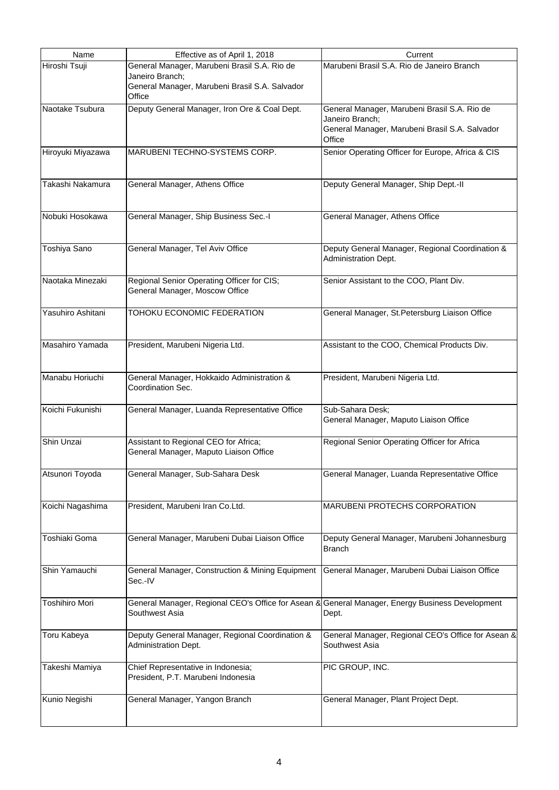| Name                  | Effective as of April 1, 2018                                                                   | Current                                            |
|-----------------------|-------------------------------------------------------------------------------------------------|----------------------------------------------------|
| Hiroshi Tsuji         | General Manager, Marubeni Brasil S.A. Rio de                                                    | Marubeni Brasil S.A. Rio de Janeiro Branch         |
|                       | Janeiro Branch;                                                                                 |                                                    |
|                       | General Manager, Marubeni Brasil S.A. Salvador                                                  |                                                    |
|                       | Office                                                                                          |                                                    |
| Naotake Tsubura       | Deputy General Manager, Iron Ore & Coal Dept.                                                   | General Manager, Marubeni Brasil S.A. Rio de       |
|                       |                                                                                                 | Janeiro Branch;                                    |
|                       |                                                                                                 | General Manager, Marubeni Brasil S.A. Salvador     |
|                       |                                                                                                 | Office                                             |
| Hiroyuki Miyazawa     | MARUBENI TECHNO-SYSTEMS CORP.                                                                   | Senior Operating Officer for Europe, Africa & CIS  |
|                       |                                                                                                 |                                                    |
|                       |                                                                                                 |                                                    |
| Takashi Nakamura      | General Manager, Athens Office                                                                  | Deputy General Manager, Ship Dept.-II              |
|                       |                                                                                                 |                                                    |
|                       |                                                                                                 |                                                    |
| Nobuki Hosokawa       | General Manager, Ship Business Sec.-I                                                           | General Manager, Athens Office                     |
|                       |                                                                                                 |                                                    |
|                       |                                                                                                 |                                                    |
|                       |                                                                                                 |                                                    |
| Toshiya Sano          | General Manager, Tel Aviv Office                                                                | Deputy General Manager, Regional Coordination &    |
|                       |                                                                                                 | Administration Dept.                               |
|                       |                                                                                                 |                                                    |
| Naotaka Minezaki      | Regional Senior Operating Officer for CIS;                                                      | Senior Assistant to the COO, Plant Div.            |
|                       | General Manager, Moscow Office                                                                  |                                                    |
|                       |                                                                                                 |                                                    |
| Yasuhiro Ashitani     | TOHOKU ECONOMIC FEDERATION                                                                      | General Manager, St. Petersburg Liaison Office     |
|                       |                                                                                                 |                                                    |
|                       |                                                                                                 |                                                    |
| Masahiro Yamada       | President, Marubeni Nigeria Ltd.                                                                | Assistant to the COO, Chemical Products Div.       |
|                       |                                                                                                 |                                                    |
|                       |                                                                                                 |                                                    |
| Manabu Horiuchi       | General Manager, Hokkaido Administration &                                                      | President, Marubeni Nigeria Ltd.                   |
|                       | Coordination Sec.                                                                               |                                                    |
|                       |                                                                                                 |                                                    |
| Koichi Fukunishi      | General Manager, Luanda Representative Office                                                   | Sub-Sahara Desk;                                   |
|                       |                                                                                                 | General Manager, Maputo Liaison Office             |
|                       |                                                                                                 |                                                    |
| Shin Unzai            | Assistant to Regional CEO for Africa;                                                           | Regional Senior Operating Officer for Africa       |
|                       | General Manager, Maputo Liaison Office                                                          |                                                    |
|                       |                                                                                                 |                                                    |
| Atsunori Toyoda       | General Manager, Sub-Sahara Desk                                                                | General Manager, Luanda Representative Office      |
|                       |                                                                                                 |                                                    |
|                       |                                                                                                 |                                                    |
|                       |                                                                                                 |                                                    |
| Koichi Nagashima      | President, Marubeni Iran Co.Ltd.                                                                | MARUBENI PROTECHS CORPORATION                      |
|                       |                                                                                                 |                                                    |
|                       |                                                                                                 |                                                    |
| Toshiaki Goma         | General Manager, Marubeni Dubai Liaison Office                                                  | Deputy General Manager, Marubeni Johannesburg      |
|                       |                                                                                                 | <b>Branch</b>                                      |
|                       |                                                                                                 |                                                    |
| Shin Yamauchi         | General Manager, Construction & Mining Equipment                                                | General Manager, Marubeni Dubai Liaison Office     |
|                       | Sec.-IV                                                                                         |                                                    |
|                       |                                                                                                 |                                                    |
| <b>Toshihiro Mori</b> | General Manager, Regional CEO's Office for Asean & General Manager, Energy Business Development |                                                    |
|                       | Southwest Asia                                                                                  | Dept.                                              |
|                       |                                                                                                 |                                                    |
| Toru Kabeya           | Deputy General Manager, Regional Coordination &                                                 | General Manager, Regional CEO's Office for Asean & |
|                       | Administration Dept.                                                                            | Southwest Asia                                     |
|                       |                                                                                                 |                                                    |
| Takeshi Mamiya        | Chief Representative in Indonesia;                                                              | PIC GROUP, INC.                                    |
|                       | President, P.T. Marubeni Indonesia                                                              |                                                    |
|                       |                                                                                                 |                                                    |
| Kunio Negishi         | General Manager, Yangon Branch                                                                  | General Manager, Plant Project Dept.               |
|                       |                                                                                                 |                                                    |
|                       |                                                                                                 |                                                    |
|                       |                                                                                                 |                                                    |